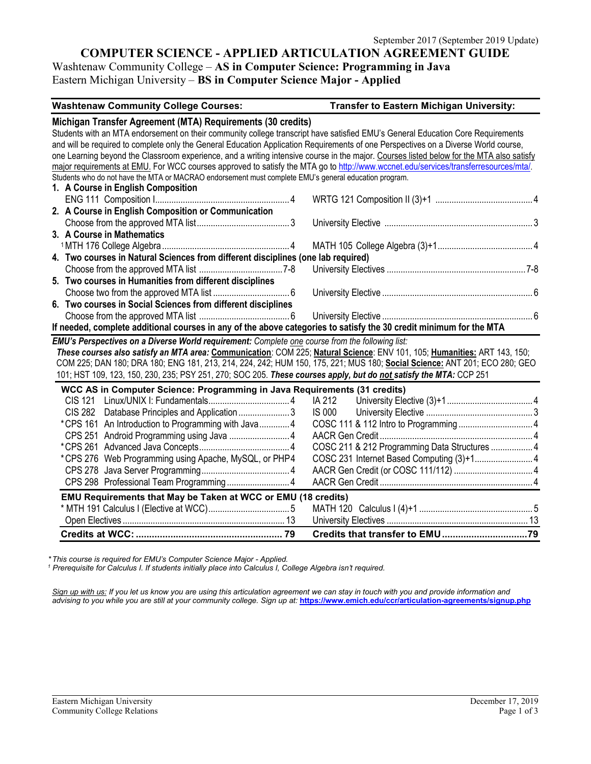# **COMPUTER SCIENCE - APPLIED ARTICULATION AGREEMENT GUIDE**

Washtenaw Community College – **AS in Computer Science: Programming in Java** Eastern Michigan University – **BS in Computer Science Major - Applied**

| <b>Washtenaw Community College Courses:</b>                                                                                              | <b>Transfer to Eastern Michigan University:</b> |
|------------------------------------------------------------------------------------------------------------------------------------------|-------------------------------------------------|
| Michigan Transfer Agreement (MTA) Requirements (30 credits)                                                                              |                                                 |
| Students with an MTA endorsement on their community college transcript have satisfied EMU's General Education Core Requirements          |                                                 |
| and will be required to complete only the General Education Application Requirements of one Perspectives on a Diverse World course,      |                                                 |
| one Learning beyond the Classroom experience, and a writing intensive course in the major. Courses listed below for the MTA also satisfy |                                                 |
| major requirements at EMU. For WCC courses approved to satisfy the MTA go to http://www.wccnet.edu/services/transferresources/mtal.      |                                                 |
| Students who do not have the MTA or MACRAO endorsement must complete EMU's general education program.                                    |                                                 |
| 1. A Course in English Composition                                                                                                       |                                                 |
|                                                                                                                                          |                                                 |
| 2. A Course in English Composition or Communication                                                                                      |                                                 |
|                                                                                                                                          |                                                 |
| 3. A Course in Mathematics                                                                                                               |                                                 |
|                                                                                                                                          |                                                 |
| 4. Two courses in Natural Sciences from different disciplines (one lab required)                                                         |                                                 |
|                                                                                                                                          |                                                 |
| 5. Two courses in Humanities from different disciplines                                                                                  |                                                 |
|                                                                                                                                          |                                                 |
| 6. Two courses in Social Sciences from different disciplines                                                                             |                                                 |
|                                                                                                                                          |                                                 |
| If needed, complete additional courses in any of the above categories to satisfy the 30 credit minimum for the MTA                       |                                                 |
| <b>EMU's Perspectives on a Diverse World requirement:</b> Complete one course from the following list:                                   |                                                 |
| These courses also satisfy an MTA area: Communication: COM 225; Natural Science: ENV 101, 105; Humanities: ART 143, 150;                 |                                                 |
| COM 225; DAN 180; DRA 180; ENG 181, 213, 214, 224, 242; HUM 150, 175, 221; MUS 180; Social Science: ANT 201; ECO 280; GEO                |                                                 |
| 101; HST 109, 123, 150, 230, 235; PSY 251, 270; SOC 205. These courses apply, but do not satisfy the MTA: CCP 251                        |                                                 |
| WCC AS in Computer Science: Programming in Java Requirements (31 credits)                                                                |                                                 |
| CIS 121                                                                                                                                  |                                                 |
| CIS 282 Database Principles and Application 3                                                                                            |                                                 |
| *CPS 161 An Introduction to Programming with Java4                                                                                       |                                                 |
| $\overline{a}$                                                                                                                           |                                                 |

| EMU Requirements that May be Taken at WCC or EMU (18 credits) |                                               |  |  |
|---------------------------------------------------------------|-----------------------------------------------|--|--|
|                                                               |                                               |  |  |
|                                                               |                                               |  |  |
| *CPS 276 Web Programming using Apache, MySQL, or PHP4         |                                               |  |  |
|                                                               | COSC 211 & 212 Programming Data Structures  4 |  |  |
|                                                               |                                               |  |  |

*\*This course is required for EMU's Computer Science Major - Applied.*

*<sup>1</sup> Prerequisite for Calculus I. If students initially place into Calculus I, College Algebra isn't required.*

*Sign up with us: If you let us know you are using this articulation agreement we can stay in touch with you and provide information and advising to you while you are still at your community college. Sign up at:* **<https://www.emich.edu/ccr/articulation-agreements/signup.php>**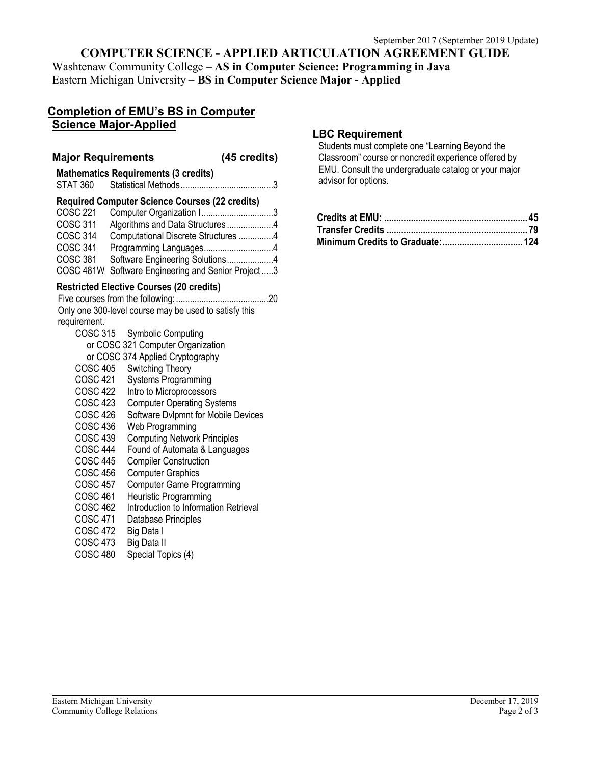# **COMPUTER SCIENCE - APPLIED ARTICULATION AGREEMENT GUIDE**

Washtenaw Community College – **AS in Computer Science: Programming in Java** Eastern Michigan University – **BS in Computer Science Major - Applied**

### **Completion of EMU's BS in Computer Science Major-Applied**

#### **Major Requirements (45 credits)**

**Mathematics Requirements (3 credits)** STAT 360 Statistical Methods........................................3 **Required Computer Science Courses (22 credits)**

| COSC 221        | Computer Organization I3                           |  |
|-----------------|----------------------------------------------------|--|
| <b>COSC 311</b> | Algorithms and Data Structures4                    |  |
| COSC 314        | Computational Discrete Structures 4                |  |
| COSC 341        | Programming Languages4                             |  |
| COSC 381        | Software Engineering Solutions4                    |  |
|                 | COSC 481W Software Engineering and Senior Project3 |  |

#### **Restricted Elective Courses (20 credits)**

Five courses from the following:........................................20 Only one 300-level course may be used to satisfy this requirement. COSC 315 Symbolic Computing

| UUSU 313        | <b>SYMOONG COMPUTER</b>             |
|-----------------|-------------------------------------|
|                 | or COSC 321 Computer Organization   |
|                 | or COSC 374 Applied Cryptography    |
| <b>COSC 405</b> | Switching Theory                    |
| COSC 421        | <b>Systems Programming</b>          |
| COSC 422        | Intro to Microprocessors            |
| COSC 423        | <b>Computer Operating Systems</b>   |
| <b>COSC 426</b> | Software Dvlpmnt for Mobile Devices |
| COSC 436        | Web Programming                     |
| COSC 439        | <b>Computing Network Principles</b> |
| <b>COSC 444</b> | Found of Automata & Languages       |
| <b>COSC 445</b> | <b>Compiler Construction</b>        |
| <b>COSC 456</b> | <b>Computer Graphics</b>            |
| <b>COSC 457</b> | <b>Computer Game Programming</b>    |
|                 |                                     |

- COSC 461 Heuristic Programming
- COSC 462 Introduction to Information Retrieval
- COSC 471 Database Principles
- COSC 472 Big Data I
- 
- COSC 473 Big Data II<br>COSC 480 Special Tor Special Topics (4)

### **LBC Requirement**

Students must complete one "Learning Beyond the Classroom" course or noncredit experience offered by EMU. Consult the undergraduate catalog or your major advisor for options.